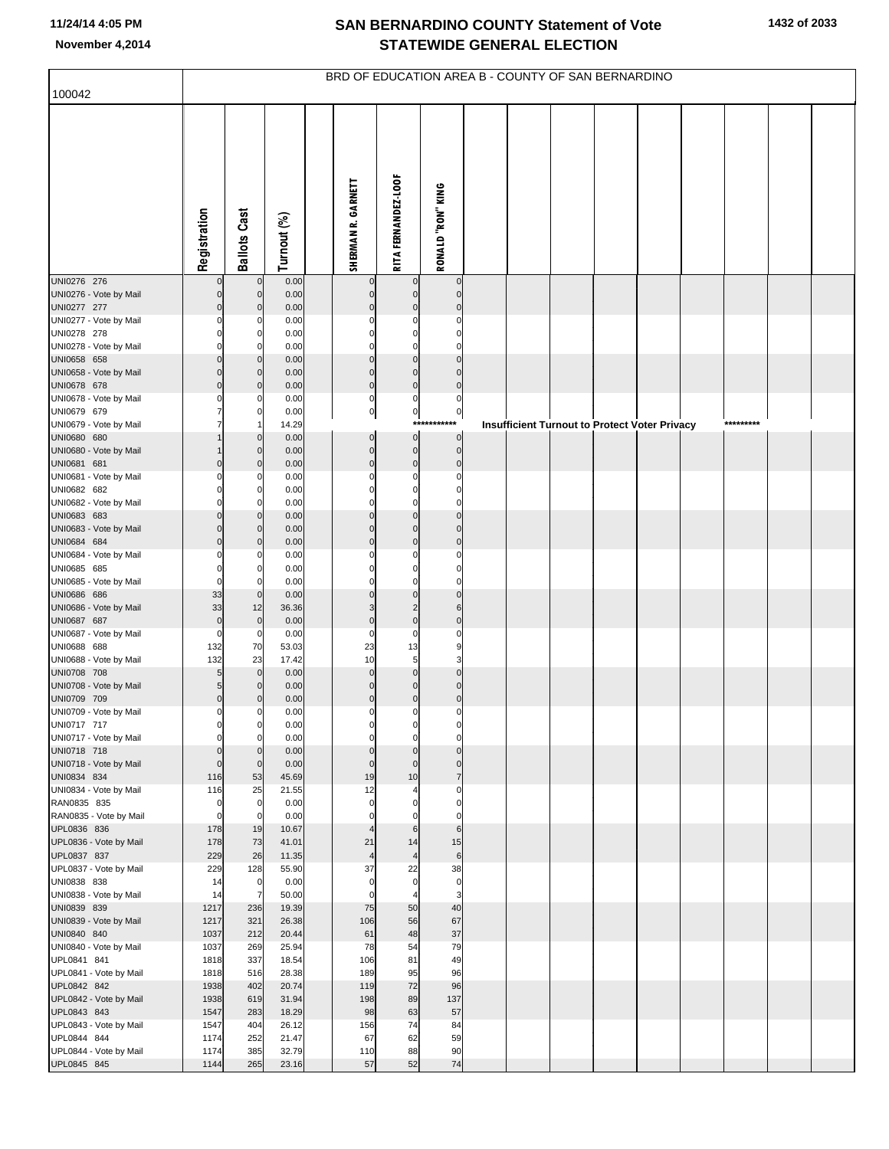| 100042                                | BRD OF EDUCATION AREA B - COUNTY OF SAN BERNARDINO |                                  |                |  |                               |                               |                               |  |                                                      |  |  |  |  |           |  |
|---------------------------------------|----------------------------------------------------|----------------------------------|----------------|--|-------------------------------|-------------------------------|-------------------------------|--|------------------------------------------------------|--|--|--|--|-----------|--|
|                                       |                                                    |                                  |                |  |                               |                               |                               |  |                                                      |  |  |  |  |           |  |
|                                       | Registration                                       | <b>Ballots Cast</b>              | Turnout (%)    |  | SHERMAN R. GARNETT            | <b>RITA FERNANDEZ-LOOF</b>    | <b>RONALD "RON" KING</b>      |  |                                                      |  |  |  |  |           |  |
| UNI0276 276<br>UNI0276 - Vote by Mail | $\Omega$                                           | $\mathbf 0$<br>$\overline{0}$    | 0.00<br>0.00   |  | 0<br>$\mathbf 0$              | 0                             | $\mathbf 0$<br>$\mathbf 0$    |  |                                                      |  |  |  |  |           |  |
| UNI0277 277                           | $\mathbf 0$                                        | $\mathbf 0$                      | 0.00           |  | $\mathbf 0$                   | $\mathbf 0$                   | $\Omega$                      |  |                                                      |  |  |  |  |           |  |
| UNI0277 - Vote by Mail                |                                                    | 0                                | 0.00           |  | $\mathbf 0$                   | $\Omega$                      | $\Omega$                      |  |                                                      |  |  |  |  |           |  |
| UNI0278 278                           |                                                    | 0<br>$\Omega$                    | 0.00           |  | $\mathbf 0$<br>$\mathbf 0$    | $\Omega$<br>$\Omega$          | $\Omega$<br>$\Omega$          |  |                                                      |  |  |  |  |           |  |
| UNI0278 - Vote by Mail<br>UNI0658 658 | 0                                                  | $\mathbf 0$                      | 0.00<br>0.00   |  | $\mathbf 0$                   | $\mathbf 0$                   | $\Omega$                      |  |                                                      |  |  |  |  |           |  |
| UNI0658 - Vote by Mail                | $\Omega$                                           | $\mathbf 0$                      | 0.00           |  | $\mathbf 0$                   | $\mathbf{0}$                  | $\Omega$                      |  |                                                      |  |  |  |  |           |  |
| UNI0678 678                           | $\Omega$                                           | $\mathbf 0$                      | 0.00           |  | $\mathbf 0$                   | $\mathbf 0$                   | $\mathbf 0$                   |  |                                                      |  |  |  |  |           |  |
| UNI0678 - Vote by Mail<br>UNI0679 679 |                                                    | 0<br>0                           | 0.00<br>0.00   |  | $\mathbf 0$<br>$\overline{0}$ | $\mathbf 0$<br>$\mathbf{0}$   | $\mathbf 0$<br>$\overline{0}$ |  |                                                      |  |  |  |  |           |  |
| UNI0679 - Vote by Mail                |                                                    |                                  | 14.29          |  |                               | $***$                         | ***                           |  | <b>Insufficient Turnout to Protect Voter Privacy</b> |  |  |  |  | ********* |  |
| UNI0680 680                           |                                                    | $\mathbf 0$                      | 0.00           |  | $\pmb{0}$                     | $\pmb{0}$                     | $\pmb{0}$                     |  |                                                      |  |  |  |  |           |  |
| UNI0680 - Vote by Mail                |                                                    | $\mathbf 0$                      | 0.00           |  | $\mathbf 0$                   | $\mathbf 0$                   | $\mathbf 0$                   |  |                                                      |  |  |  |  |           |  |
| UNI0681 681<br>UNI0681 - Vote by Mail | 0                                                  | $\mathbf 0$<br>0                 | 0.00<br>0.00   |  | $\mathbf 0$<br>$\mathbf 0$    | $\mathbf 0$<br>0              | $\mathbf 0$<br>$\Omega$       |  |                                                      |  |  |  |  |           |  |
| UNI0682 682                           |                                                    | 0                                | 0.00           |  | $\mathbf 0$                   | $\mathbf 0$                   | $\Omega$                      |  |                                                      |  |  |  |  |           |  |
| UNI0682 - Vote by Mail                | ŋ                                                  | $\Omega$                         | 0.00           |  | $\mathbf 0$                   | $\mathbf 0$                   | $\Omega$                      |  |                                                      |  |  |  |  |           |  |
| UNI0683 683                           | 0                                                  | $\mathbf 0$                      | 0.00           |  | $\mathbf 0$<br>$\mathbf 0$    | $\mathbf 0$                   | $\Omega$<br>$\Omega$          |  |                                                      |  |  |  |  |           |  |
| UNI0683 - Vote by Mail<br>UNI0684 684 | $\Omega$<br>$\Omega$                               | $\mathbf 0$<br>$\mathbf 0$       | 0.00<br>0.00   |  | $\mathbf 0$                   | $\mathbf{0}$<br>$\mathbf 0$   | $\mathbf 0$                   |  |                                                      |  |  |  |  |           |  |
| UNI0684 - Vote by Mail                |                                                    | 0                                | 0.00           |  | $\mathbf 0$                   | $\Omega$                      | $\Omega$                      |  |                                                      |  |  |  |  |           |  |
| UNI0685 685                           | 0                                                  | 0                                | 0.00           |  | $\mathbf 0$                   | $\mathbf 0$                   | 0                             |  |                                                      |  |  |  |  |           |  |
| UNI0685 - Vote by Mail<br>UNI0686 686 | $\Omega$<br>33                                     | $\mathbf 0$<br>$\mathbf 0$       | 0.00<br>0.00   |  | $\mathbf 0$<br>$\mathbf 0$    | $\Omega$<br>$\mathbf{0}$      | $\Omega$<br>$\Omega$          |  |                                                      |  |  |  |  |           |  |
| UNI0686 - Vote by Mail                | 33                                                 | 12                               | 36.36          |  | 3                             | $\overline{2}$                | 6                             |  |                                                      |  |  |  |  |           |  |
| UNI0687 687                           | $\mathbf 0$                                        | $\mathbf 0$                      | 0.00           |  | $\mathbf 0$                   | $\mathbf 0$                   | $\mathbf 0$                   |  |                                                      |  |  |  |  |           |  |
| UNI0687 - Vote by Mail                | 0                                                  | $\mathbf 0$                      | 0.00           |  | $\mathbf 0$                   | $\mathbf 0$                   | $\Omega$                      |  |                                                      |  |  |  |  |           |  |
| UNI0688 688<br>UNI0688 - Vote by Mail | 132<br>132                                         | 70<br>23                         | 53.03<br>17.42 |  | 23<br>10                      | 13<br>$\overline{5}$          | 9<br>3                        |  |                                                      |  |  |  |  |           |  |
| UNI0708 708                           | 5                                                  | $\overline{0}$                   | 0.00           |  | $\mathbf 0$                   | $\mathbf 0$                   | $\Omega$                      |  |                                                      |  |  |  |  |           |  |
| UNI0708 - Vote by Mail                | 5                                                  | $\mathbf 0$                      | 0.00           |  | $\mathbf 0$                   | $\mathbf{0}$                  | $\Omega$                      |  |                                                      |  |  |  |  |           |  |
| UNI0709 709                           | $\mathbf 0$                                        | $\Omega$                         | 0.00           |  | $\mathbf 0$                   | $\mathbf 0$                   | $\mathbf 0$                   |  |                                                      |  |  |  |  |           |  |
| UNI0709 - Vote by Mail<br>UNI0717 717 | $\Omega$                                           | 0<br>U                           | 0.00<br>0.00   |  | $\mathbf 0$                   | $\Omega$                      | $\Omega$                      |  |                                                      |  |  |  |  |           |  |
| UNI0717 - Vote by Mail                | $\Omega$                                           | $\mathbf 0$                      | 0.00           |  | $\mathbf 0$                   | $\Omega$                      | $\Omega$                      |  |                                                      |  |  |  |  |           |  |
| UNI0718 718                           | $\Omega$                                           | $\mathbf 0$                      | 0.00           |  | $\mathbf 0$                   | $\mathbf 0$                   | $\Omega$                      |  |                                                      |  |  |  |  |           |  |
| UNI0718 - Vote by Mail                | $\Omega$<br>116                                    | $\mathbf 0$<br>53                | 0.00<br>45.69  |  | $\mathbf 0$<br>19             | $\mathbf{0}$<br>10            | $\Omega$<br>$\overline{7}$    |  |                                                      |  |  |  |  |           |  |
| UNI0834 834<br>UNI0834 - Vote by Mail | 116                                                | 25                               | 21.55          |  | 12                            | 4                             | $\mathbf 0$                   |  |                                                      |  |  |  |  |           |  |
| RAN0835 835                           | 0                                                  | $\overline{0}$                   | 0.00           |  | $\mathbf 0$                   | 0                             | 0                             |  |                                                      |  |  |  |  |           |  |
| RAN0835 - Vote by Mail                | 0                                                  | $\mathbf 0$                      | 0.00           |  | $\mathbf 0$                   | $\mathbf 0$                   | $\Omega$                      |  |                                                      |  |  |  |  |           |  |
| UPL0836 836<br>UPL0836 - Vote by Mail | 178<br>178                                         | 19<br>73                         | 10.67<br>41.01 |  | 21                            | $6\phantom{1}6$<br>14         | 6<br>15                       |  |                                                      |  |  |  |  |           |  |
| UPL0837 837                           | 229                                                | 26                               | 11.35          |  | $\overline{4}$                | $\overline{4}$                | $\,$ 6                        |  |                                                      |  |  |  |  |           |  |
| UPL0837 - Vote by Mail                | 229                                                | 128                              | 55.90          |  | 37                            | 22                            | 38                            |  |                                                      |  |  |  |  |           |  |
| UNI0838 838                           | 14<br>14                                           | $\overline{0}$<br>$\overline{7}$ | 0.00<br>50.00  |  | $\mathbf 0$<br>$\mathbf 0$    | $\mathbf 0$<br>$\overline{4}$ | $\mathbf 0$<br>3              |  |                                                      |  |  |  |  |           |  |
| UNI0838 - Vote by Mail<br>UNI0839 839 | 1217                                               | 236                              | 19.39          |  | 75                            | 50                            | 40                            |  |                                                      |  |  |  |  |           |  |
| UNI0839 - Vote by Mail                | 1217                                               | 321                              | 26.38          |  | 106                           | 56                            | 67                            |  |                                                      |  |  |  |  |           |  |
| UNI0840 840                           | 1037                                               | 212                              | 20.44          |  | 61                            | 48                            | 37                            |  |                                                      |  |  |  |  |           |  |
| UNI0840 - Vote by Mail                | 1037                                               | 269                              | 25.94          |  | 78                            | 54<br>81                      | 79                            |  |                                                      |  |  |  |  |           |  |
| UPL0841 841<br>UPL0841 - Vote by Mail | 1818<br>1818                                       | 337<br>516                       | 18.54<br>28.38 |  | 106<br>189                    | 95                            | 49<br>96                      |  |                                                      |  |  |  |  |           |  |
| UPL0842 842                           | 1938                                               | 402                              | 20.74          |  | 119                           | 72                            | 96                            |  |                                                      |  |  |  |  |           |  |
| UPL0842 - Vote by Mail                | 1938                                               | 619                              | 31.94          |  | 198                           | 89                            | 137                           |  |                                                      |  |  |  |  |           |  |
| UPL0843 843                           | 1547                                               | 283                              | 18.29          |  | 98                            | 63                            | 57                            |  |                                                      |  |  |  |  |           |  |
| UPL0843 - Vote by Mail<br>UPL0844 844 | 1547<br>1174                                       | 404<br>252                       | 26.12<br>21.47 |  | 156<br>67                     | 74<br>62                      | 84<br>59                      |  |                                                      |  |  |  |  |           |  |
| UPL0844 - Vote by Mail                | 1174                                               | 385                              | 32.79          |  | 110                           | 88                            | 90                            |  |                                                      |  |  |  |  |           |  |
| UPL0845 845                           | 1144                                               | 265                              | 23.16          |  | 57                            | 52                            | 74                            |  |                                                      |  |  |  |  |           |  |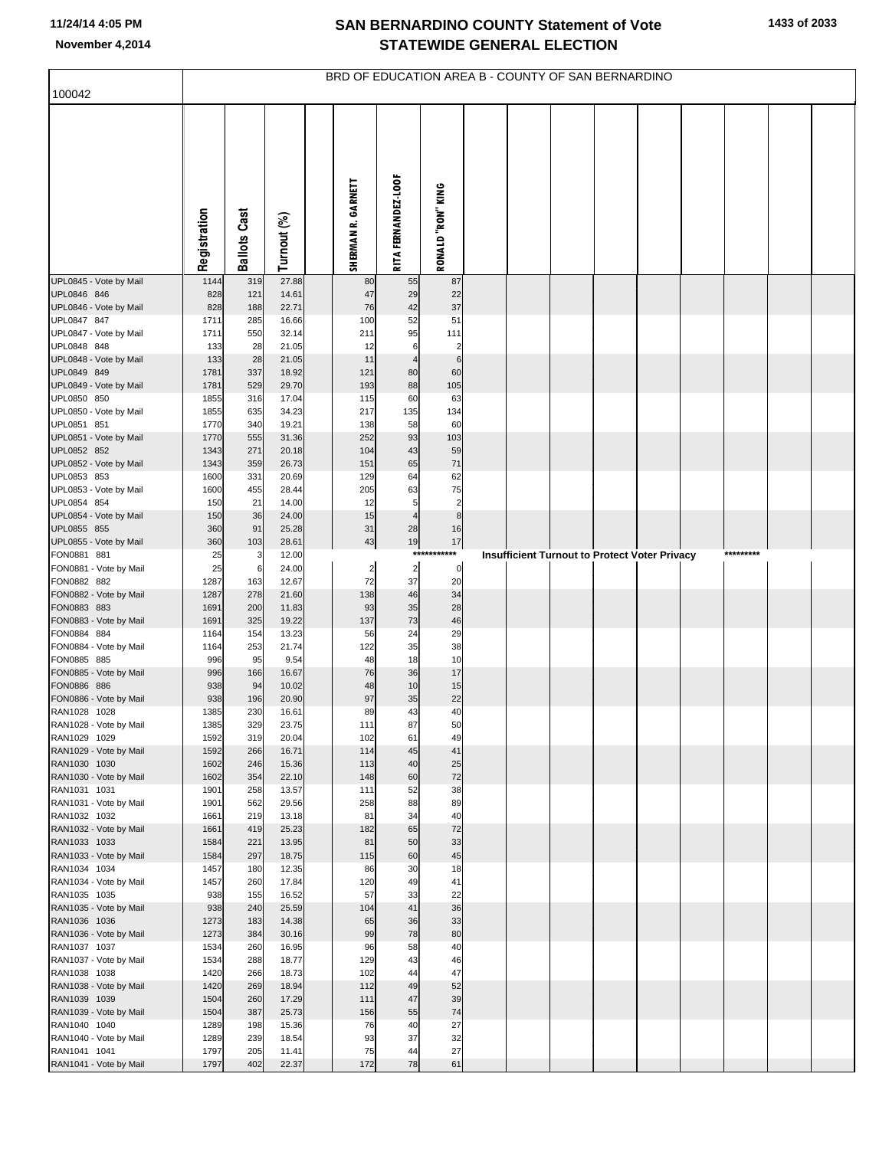|                                        | BRD OF EDUCATION AREA B - COUNTY OF SAN BERNARDINO |                     |                |  |                         |                            |                                   |  |  |  |  |                                                      |  |           |  |  |
|----------------------------------------|----------------------------------------------------|---------------------|----------------|--|-------------------------|----------------------------|-----------------------------------|--|--|--|--|------------------------------------------------------|--|-----------|--|--|
| 100042                                 |                                                    |                     |                |  |                         |                            |                                   |  |  |  |  |                                                      |  |           |  |  |
|                                        | Registration                                       | <b>Ballots Cast</b> | Turnout (%)    |  | SHERMAN R. GARNETT      | <b>RITA FERNANDEZ-LOOF</b> | <b>RONALD "RON" KING</b>          |  |  |  |  |                                                      |  |           |  |  |
| UPL0845 - Vote by Mail                 | 1144                                               | 319                 | 27.88          |  | 80                      | 55                         | 87                                |  |  |  |  |                                                      |  |           |  |  |
| UPL0846 846<br>UPL0846 - Vote by Mail  | 828<br>828                                         | 121<br>188          | 14.61<br>22.71 |  | 47<br>76                | 29<br>42                   | 22<br>37                          |  |  |  |  |                                                      |  |           |  |  |
| UPL0847 847                            | 1711                                               | 285                 | 16.66          |  | 100                     | 52                         | 51                                |  |  |  |  |                                                      |  |           |  |  |
| UPL0847 - Vote by Mail                 | 1711                                               | 550                 | 32.14          |  | 211                     | 95                         | 111                               |  |  |  |  |                                                      |  |           |  |  |
| UPL0848 848<br>UPL0848 - Vote by Mail  | 133                                                | 28                  | 21.05          |  | 12                      | 6<br>$\overline{4}$        | $\overline{c}$<br>$6\phantom{1}6$ |  |  |  |  |                                                      |  |           |  |  |
| UPL0849 849                            | 133<br>1781                                        | 28<br>337           | 21.05<br>18.92 |  | 11<br>121               | 80                         | 60                                |  |  |  |  |                                                      |  |           |  |  |
| UPL0849 - Vote by Mail                 | 1781                                               | 529                 | 29.70          |  | 193                     | 88                         | 105                               |  |  |  |  |                                                      |  |           |  |  |
| UPL0850 850                            | 1855                                               | 316                 | 17.04          |  | 115                     | 60                         | 63                                |  |  |  |  |                                                      |  |           |  |  |
| UPL0850 - Vote by Mail<br>UPL0851 851  | 1855<br>1770                                       | 635<br>340          | 34.23<br>19.21 |  | 217<br>138              | 135<br>58                  | 134<br>60                         |  |  |  |  |                                                      |  |           |  |  |
| UPL0851 - Vote by Mail                 | 1770                                               | 555                 | 31.36          |  | 252                     | 93                         | 103                               |  |  |  |  |                                                      |  |           |  |  |
| UPL0852 852                            | 1343                                               | 271                 | 20.18          |  | 104                     | 43                         | 59                                |  |  |  |  |                                                      |  |           |  |  |
| UPL0852 - Vote by Mail                 | 1343                                               | 359                 | 26.73          |  | 151                     | 65                         | 71                                |  |  |  |  |                                                      |  |           |  |  |
| UPL0853 853<br>UPL0853 - Vote by Mail  | 1600<br>1600                                       | 331<br>455          | 20.69<br>28.44 |  | 129<br>205              | 64<br>63                   | 62<br>75                          |  |  |  |  |                                                      |  |           |  |  |
| UPL0854 854                            | 150                                                | 21                  | 14.00          |  | 12                      | 5                          | $\overline{\mathbf{c}}$           |  |  |  |  |                                                      |  |           |  |  |
| UPL0854 - Vote by Mail                 | 150                                                | 36                  | 24.00          |  | 15                      | $\overline{4}$             | 8                                 |  |  |  |  |                                                      |  |           |  |  |
| UPL0855 855<br>UPL0855 - Vote by Mail  | 360<br>360                                         | 91<br>103           | 25.28<br>28.61 |  | 31<br>43                | 28<br>19                   | 16<br>17                          |  |  |  |  |                                                      |  |           |  |  |
| FON0881 881                            | 25                                                 | 3                   | 12.00          |  |                         |                            | ***********                       |  |  |  |  | <b>Insufficient Turnout to Protect Voter Privacy</b> |  | ********* |  |  |
| FON0881 - Vote by Mail                 | 25                                                 | 6                   | 24.00          |  | $\overline{\mathbf{c}}$ | $\overline{\mathbf{c}}$    | 0                                 |  |  |  |  |                                                      |  |           |  |  |
| FON0882 882                            | 1287                                               | 163                 | 12.67          |  | 72                      | 37                         | 20                                |  |  |  |  |                                                      |  |           |  |  |
| FON0882 - Vote by Mail<br>FON0883 883  | 1287<br>1691                                       | 278<br>200          | 21.60<br>11.83 |  | 138<br>93               | 46<br>35                   | 34<br>28                          |  |  |  |  |                                                      |  |           |  |  |
| FON0883 - Vote by Mail                 | 1691                                               | 325                 | 19.22          |  | 137                     | 73                         | 46                                |  |  |  |  |                                                      |  |           |  |  |
| FON0884 884                            | 1164                                               | 154                 | 13.23          |  | 56                      | 24                         | 29                                |  |  |  |  |                                                      |  |           |  |  |
| FON0884 - Vote by Mail<br>FON0885 885  | 1164<br>996                                        | 253<br>95           | 21.74<br>9.54  |  | 122<br>48               | 35<br>18                   | 38<br>10                          |  |  |  |  |                                                      |  |           |  |  |
| FON0885 - Vote by Mail                 | 996                                                | 166                 | 16.67          |  | 76                      | 36                         | 17                                |  |  |  |  |                                                      |  |           |  |  |
| FON0886 886                            | 938                                                | 94                  | 10.02          |  | 48                      | 10                         | 15                                |  |  |  |  |                                                      |  |           |  |  |
| FON0886 - Vote by Mail<br>RAN1028 1028 | 938                                                | 196                 | 20.90          |  | 97                      | 35                         | 22<br>40                          |  |  |  |  |                                                      |  |           |  |  |
| RAN1028 - Vote by Mail                 | 1385<br>1385                                       | 230<br>329          | 16.61<br>23.75 |  | 89<br>111               | 43<br>87                   | 50                                |  |  |  |  |                                                      |  |           |  |  |
| RAN1029 1029                           | 1592                                               | 319                 | 20.04          |  | 102                     | 61                         | 49                                |  |  |  |  |                                                      |  |           |  |  |
| RAN1029 - Vote by Mail                 | 1592                                               | 266                 | 16.71          |  | 114                     | 45                         | 41                                |  |  |  |  |                                                      |  |           |  |  |
| RAN1030 1030<br>RAN1030 - Vote by Mail | 1602<br>1602                                       | 246<br>354          | 15.36<br>22.10 |  | 113<br>148              | 40<br>60                   | 25<br>72                          |  |  |  |  |                                                      |  |           |  |  |
| RAN1031 1031                           | 1901                                               | 258                 | 13.57          |  | 111                     | 52                         | 38                                |  |  |  |  |                                                      |  |           |  |  |
| RAN1031 - Vote by Mail                 | 1901                                               | 562                 | 29.56          |  | 258                     | 88                         | 89                                |  |  |  |  |                                                      |  |           |  |  |
| RAN1032 1032<br>RAN1032 - Vote by Mail | 1661<br>1661                                       | 219<br>419          | 13.18<br>25.23 |  | 81<br>182               | 34<br>65                   | 40<br>72                          |  |  |  |  |                                                      |  |           |  |  |
| RAN1033 1033                           | 1584                                               | 221                 | 13.95          |  | 81                      | 50                         | 33                                |  |  |  |  |                                                      |  |           |  |  |
| RAN1033 - Vote by Mail                 | 1584                                               | 297                 | 18.75          |  | 115                     | 60                         | 45                                |  |  |  |  |                                                      |  |           |  |  |
| RAN1034 1034                           | 1457                                               | 180                 | 12.35          |  | 86                      | 30                         | 18<br>41                          |  |  |  |  |                                                      |  |           |  |  |
| RAN1034 - Vote by Mail<br>RAN1035 1035 | 1457<br>938                                        | 260<br>155          | 17.84<br>16.52 |  | 120<br>57               | 49<br>33                   | 22                                |  |  |  |  |                                                      |  |           |  |  |
| RAN1035 - Vote by Mail                 | 938                                                | 240                 | 25.59          |  | 104                     | 41                         | 36                                |  |  |  |  |                                                      |  |           |  |  |
| RAN1036 1036                           | 1273                                               | 183                 | 14.38          |  | 65                      | 36                         | 33                                |  |  |  |  |                                                      |  |           |  |  |
| RAN1036 - Vote by Mail<br>RAN1037 1037 | 1273<br>1534                                       | 384<br>260          | 30.16<br>16.95 |  | 99<br>96                | 78<br>58                   | 80<br>40                          |  |  |  |  |                                                      |  |           |  |  |
| RAN1037 - Vote by Mail                 | 1534                                               | 288                 | 18.77          |  | 129                     | 43                         | 46                                |  |  |  |  |                                                      |  |           |  |  |
| RAN1038 1038                           | 1420                                               | 266                 | 18.73          |  | 102                     | 44                         | 47                                |  |  |  |  |                                                      |  |           |  |  |
| RAN1038 - Vote by Mail                 | 1420                                               | 269                 | 18.94          |  | 112                     | 49                         | 52                                |  |  |  |  |                                                      |  |           |  |  |
| RAN1039 1039<br>RAN1039 - Vote by Mail | 1504<br>1504                                       | 260<br>387          | 17.29<br>25.73 |  | 111<br>156              | 47<br>55                   | 39<br>74                          |  |  |  |  |                                                      |  |           |  |  |
| RAN1040 1040                           | 1289                                               | 198                 | 15.36          |  | 76                      | 40                         | 27                                |  |  |  |  |                                                      |  |           |  |  |
| RAN1040 - Vote by Mail                 | 1289                                               | 239                 | 18.54          |  | 93                      | 37                         | 32                                |  |  |  |  |                                                      |  |           |  |  |
| RAN1041 1041                           | 1797                                               | 205                 | 11.41          |  | 75                      | 44<br>78                   | 27                                |  |  |  |  |                                                      |  |           |  |  |
| RAN1041 - Vote by Mail                 | 1797                                               | 402                 | 22.37          |  | 172                     |                            | 61                                |  |  |  |  |                                                      |  |           |  |  |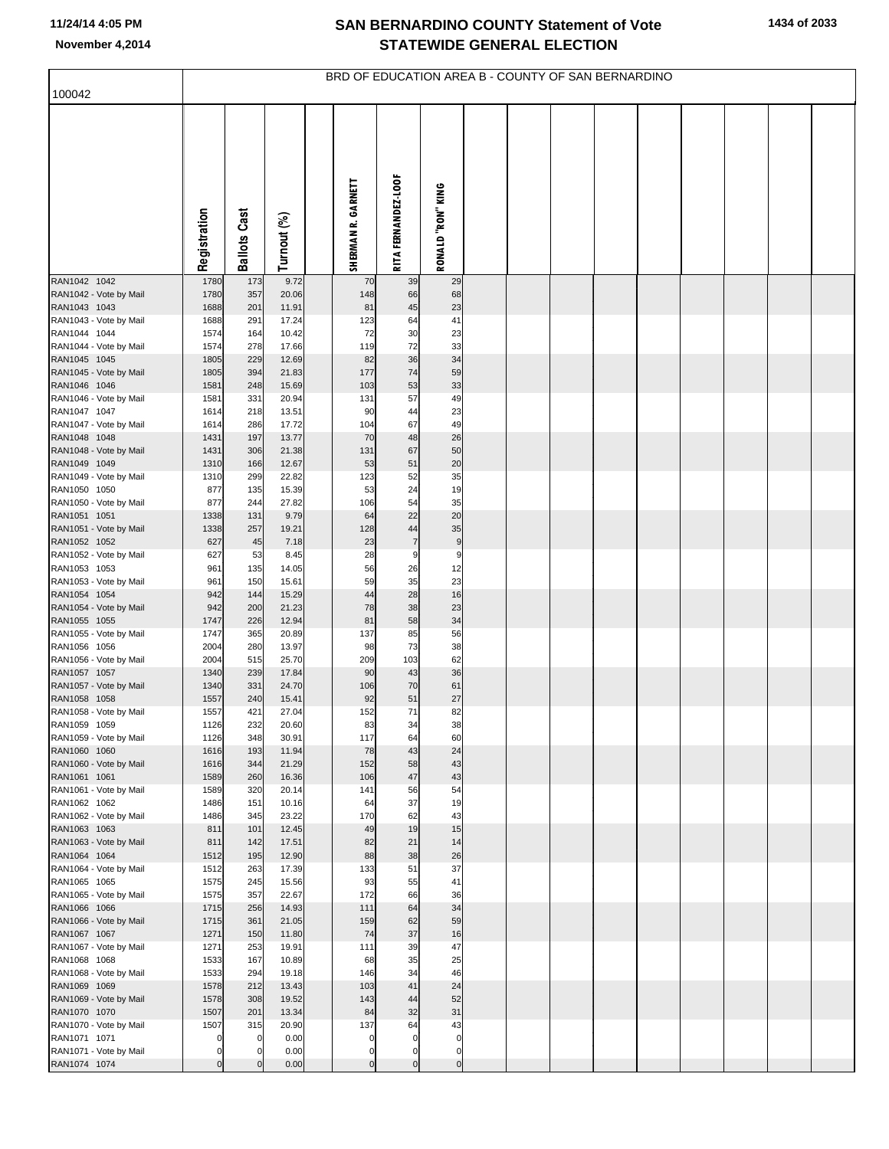|                                        | BRD OF EDUCATION AREA B - COUNTY OF SAN BERNARDINO |                      |                |  |                    |                            |                   |  |  |  |  |  |  |  |  |  |
|----------------------------------------|----------------------------------------------------|----------------------|----------------|--|--------------------|----------------------------|-------------------|--|--|--|--|--|--|--|--|--|
| 100042                                 |                                                    |                      |                |  |                    |                            |                   |  |  |  |  |  |  |  |  |  |
|                                        | Registration                                       | <b>Ballots Cast</b>  | Turnout (%)    |  | SHERMAN R. GARNETT | <b>RITA FERNANDEZ-LOOF</b> | RONALD "RON" KING |  |  |  |  |  |  |  |  |  |
| RAN1042 1042                           | 1780                                               | 173                  | 9.72           |  | 70                 | 39                         | 29                |  |  |  |  |  |  |  |  |  |
| RAN1042 - Vote by Mail                 | 1780<br>1688                                       | 357                  | 20.06          |  | 148                | 66                         | 68                |  |  |  |  |  |  |  |  |  |
| RAN1043 1043<br>RAN1043 - Vote by Mail | 1688                                               | 201<br>291           | 11.91<br>17.24 |  | 81<br>123          | 45<br>64                   | 23<br>41          |  |  |  |  |  |  |  |  |  |
| RAN1044 1044                           | 1574                                               | 164                  | 10.42          |  | 72                 | 30                         | 23                |  |  |  |  |  |  |  |  |  |
| RAN1044 - Vote by Mail                 | 1574                                               | 278                  | 17.66          |  | 119                | 72                         | 33                |  |  |  |  |  |  |  |  |  |
| RAN1045 1045                           | 1805                                               | 229                  | 12.69          |  | 82                 | 36                         | 34                |  |  |  |  |  |  |  |  |  |
| RAN1045 - Vote by Mail<br>RAN1046 1046 | 1805<br>1581                                       | 394<br>248           | 21.83<br>15.69 |  | 177<br>103         | 74<br>53                   | 59<br>33          |  |  |  |  |  |  |  |  |  |
| RAN1046 - Vote by Mail                 | 1581                                               | 331                  | 20.94          |  | 131                | 57                         | 49                |  |  |  |  |  |  |  |  |  |
| RAN1047 1047                           | 1614                                               | 218                  | 13.51          |  | 90                 | 44                         | 23                |  |  |  |  |  |  |  |  |  |
| RAN1047 - Vote by Mail                 | 1614                                               | 286                  | 17.72          |  | 104                | 67                         | 49                |  |  |  |  |  |  |  |  |  |
| RAN1048 1048<br>RAN1048 - Vote by Mail | 1431<br>1431                                       | 197<br>306           | 13.77<br>21.38 |  | 70<br>131          | 48<br>67                   | 26<br>50          |  |  |  |  |  |  |  |  |  |
| RAN1049 1049                           | 1310                                               | 166                  | 12.67          |  | 53                 | 51                         | 20                |  |  |  |  |  |  |  |  |  |
| RAN1049 - Vote by Mail                 | 1310                                               | 299                  | 22.82          |  | 123                | 52                         | 35                |  |  |  |  |  |  |  |  |  |
| RAN1050 1050                           | 877                                                | 135                  | 15.39          |  | 53                 | 24                         | 19                |  |  |  |  |  |  |  |  |  |
| RAN1050 - Vote by Mail                 | 877                                                | 244                  | 27.82          |  | 106                | 54                         | 35                |  |  |  |  |  |  |  |  |  |
| RAN1051 1051<br>RAN1051 - Vote by Mail | 1338<br>1338                                       | 131<br>257           | 9.79<br>19.21  |  | 64<br>128          | 22<br>44                   | 20<br>35          |  |  |  |  |  |  |  |  |  |
| RAN1052 1052                           | 627                                                | 45                   | 7.18           |  | 23                 | $\overline{7}$             | 9                 |  |  |  |  |  |  |  |  |  |
| RAN1052 - Vote by Mail                 | 627                                                | 53                   | 8.45           |  | 28                 | 9                          | 9                 |  |  |  |  |  |  |  |  |  |
| RAN1053 1053                           | 961                                                | 135                  | 14.05          |  | 56                 | 26                         | 12                |  |  |  |  |  |  |  |  |  |
| RAN1053 - Vote by Mail<br>RAN1054 1054 | 961<br>942                                         | 150<br>144           | 15.61<br>15.29 |  | 59<br>44           | 35<br>28                   | 23<br>16          |  |  |  |  |  |  |  |  |  |
| RAN1054 - Vote by Mail                 | 942                                                | 200                  | 21.23          |  | 78                 | 38                         | 23                |  |  |  |  |  |  |  |  |  |
| RAN1055 1055                           | 1747                                               | 226                  | 12.94          |  | 81                 | 58                         | 34                |  |  |  |  |  |  |  |  |  |
| RAN1055 - Vote by Mail                 | 1747                                               | 365                  | 20.89          |  | 137                | 85                         | 56                |  |  |  |  |  |  |  |  |  |
| RAN1056 1056<br>RAN1056 - Vote by Mail | 2004<br>2004                                       | 280<br>515           | 13.97<br>25.70 |  | 98<br>209          | 73<br>103                  | 38<br>62          |  |  |  |  |  |  |  |  |  |
| RAN1057 1057                           | 1340                                               | 239                  | 17.84          |  | 90                 | 43                         | 36                |  |  |  |  |  |  |  |  |  |
| RAN1057 - Vote by Mail                 | 1340                                               | 331                  | 24.70          |  | 106                | 70                         | 61                |  |  |  |  |  |  |  |  |  |
| RAN1058 1058                           | 1557                                               | 240                  | 15.41          |  | 92                 | 51                         | 27                |  |  |  |  |  |  |  |  |  |
| RAN1058 - Vote by Mail<br>RAN1059 1059 | 1557<br>1126                                       | 421<br>232           | 27.04<br>20.60 |  | 152<br>83          | 71<br>34                   | 82<br>38          |  |  |  |  |  |  |  |  |  |
| RAN1059 - Vote by Mail                 | 1126                                               | 348                  | 30.91          |  | 117                | 64                         | 60                |  |  |  |  |  |  |  |  |  |
| RAN1060 1060                           | 1616                                               | 193                  | 11.94          |  | 78                 | 43                         | 24                |  |  |  |  |  |  |  |  |  |
| RAN1060 - Vote by Mail                 | 1616                                               | 344                  | 21.29          |  | 152                | 58                         | 43                |  |  |  |  |  |  |  |  |  |
| RAN1061 1061<br>RAN1061 - Vote by Mail | 1589<br>1589                                       | 260<br>320           | 16.36<br>20.14 |  | 106<br>141         | 47<br>56                   | 43<br>54          |  |  |  |  |  |  |  |  |  |
| RAN1062 1062                           | 1486                                               | 151                  | 10.16          |  | 64                 | 37                         | 19                |  |  |  |  |  |  |  |  |  |
| RAN1062 - Vote by Mail                 | 1486                                               | 345                  | 23.22          |  | 170                | 62                         | 43                |  |  |  |  |  |  |  |  |  |
| RAN1063 1063                           | 811                                                | 101                  | 12.45          |  | 49                 | 19                         | 15                |  |  |  |  |  |  |  |  |  |
| RAN1063 - Vote by Mail<br>RAN1064 1064 | 811<br>1512                                        | 142<br>195           | 17.51<br>12.90 |  | 82<br>88           | 21<br>38                   | 14<br>26          |  |  |  |  |  |  |  |  |  |
| RAN1064 - Vote by Mail                 | 1512                                               | 263                  | 17.39          |  | 133                | 51                         | 37                |  |  |  |  |  |  |  |  |  |
| RAN1065 1065                           | 1575                                               | 245                  | 15.56          |  | 93                 | 55                         | 41                |  |  |  |  |  |  |  |  |  |
| RAN1065 - Vote by Mail                 | 1575                                               | 357                  | 22.67          |  | 172                | 66                         | 36                |  |  |  |  |  |  |  |  |  |
| RAN1066 1066                           | 1715                                               | 256                  | 14.93          |  | 111                | 64                         | 34                |  |  |  |  |  |  |  |  |  |
| RAN1066 - Vote by Mail<br>RAN1067 1067 | 1715<br>1271                                       | 361<br>150           | 21.05<br>11.80 |  | 159<br>74          | 62<br>37                   | 59<br>16          |  |  |  |  |  |  |  |  |  |
| RAN1067 - Vote by Mail                 | 1271                                               | 253                  | 19.91          |  | 111                | 39                         | 47                |  |  |  |  |  |  |  |  |  |
| RAN1068 1068                           | 1533                                               | 167                  | 10.89          |  | 68                 | 35                         | 25                |  |  |  |  |  |  |  |  |  |
| RAN1068 - Vote by Mail                 | 1533                                               | 294                  | 19.18          |  | 146                | 34                         | 46                |  |  |  |  |  |  |  |  |  |
| RAN1069 1069<br>RAN1069 - Vote by Mail | 1578<br>1578                                       | 212<br>308           | 13.43<br>19.52 |  | 103<br>143         | 41<br>44                   | 24<br>52          |  |  |  |  |  |  |  |  |  |
| RAN1070 1070                           | 1507                                               | 201                  | 13.34          |  | 84                 | 32                         | 31                |  |  |  |  |  |  |  |  |  |
| RAN1070 - Vote by Mail                 | 1507                                               | 315                  | 20.90          |  | 137                | 64                         | 43                |  |  |  |  |  |  |  |  |  |
| RAN1071 1071                           | 0                                                  | $\mathbf 0$          | 0.00           |  | $\mathbf 0$        | $\mathbf 0$                | $\Omega$          |  |  |  |  |  |  |  |  |  |
| RAN1071 - Vote by Mail                 | 0                                                  | $\Omega$<br>$\Omega$ | 0.00           |  | 0<br>$\Omega$      | $\mathbf 0$                | $\mathbf 0$       |  |  |  |  |  |  |  |  |  |
| RAN1074 1074                           | $\mathbf 0$                                        |                      | 0.00           |  |                    | $\mathbf 0$                | $\mathbf 0$       |  |  |  |  |  |  |  |  |  |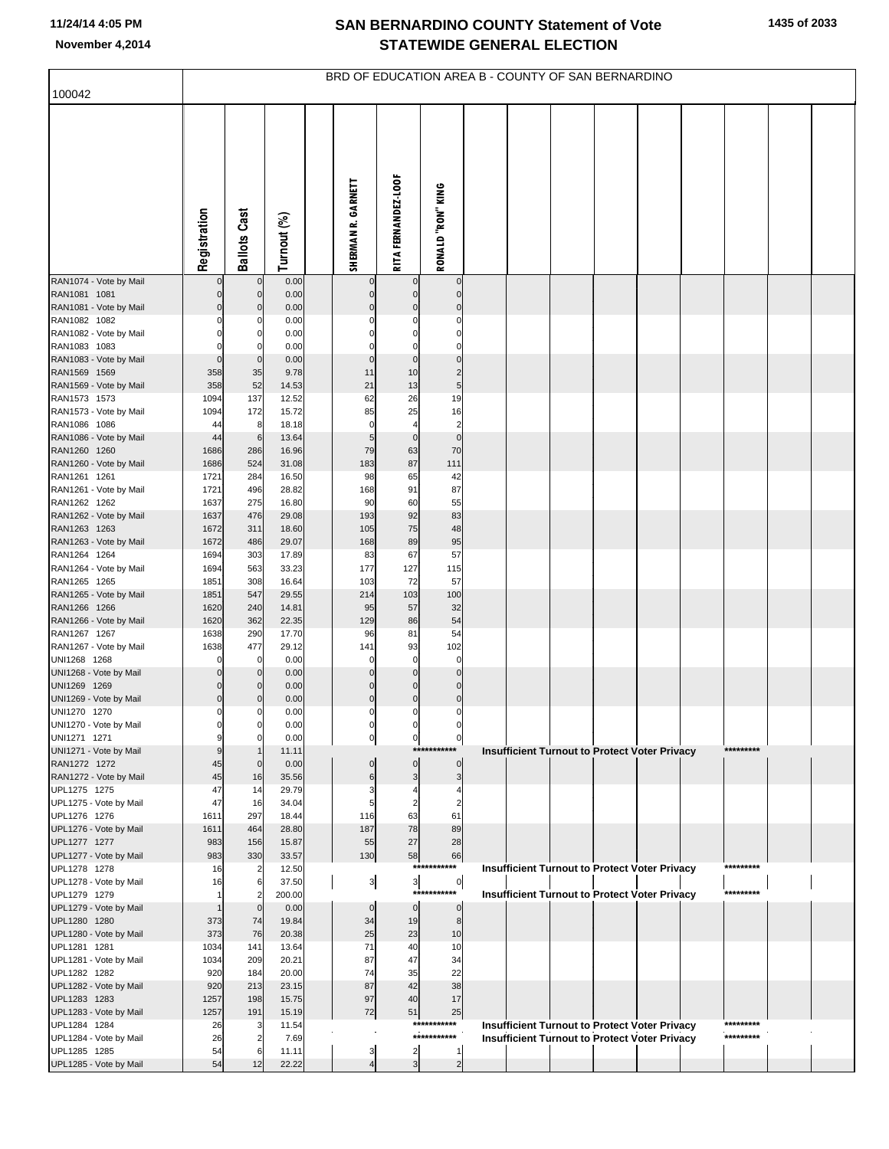| 100042                                 | BRD OF EDUCATION AREA B - COUNTY OF SAN BERNARDINO |                            |                 |  |                    |                            |                                        |                                                      |  |  |  |           |  |  |
|----------------------------------------|----------------------------------------------------|----------------------------|-----------------|--|--------------------|----------------------------|----------------------------------------|------------------------------------------------------|--|--|--|-----------|--|--|
|                                        |                                                    |                            |                 |  |                    |                            |                                        |                                                      |  |  |  |           |  |  |
|                                        | Registration                                       | <b>Ballots Cast</b>        | Turnout (%)     |  | SHERMAN R. GARNETT | <b>RITA FERNANDEZ-LOOF</b> | RONALD "RON" KING                      |                                                      |  |  |  |           |  |  |
| RAN1074 - Vote by Mail                 |                                                    | $\mathbf 0$                | 0.00            |  |                    |                            | $\mathbf 0$                            |                                                      |  |  |  |           |  |  |
| RAN1081 1081<br>RAN1081 - Vote by Mail | 0                                                  | $\mathbf 0$<br>$\mathbf 0$ | 0.00<br>0.00    |  | 0                  | $\mathbf 0$<br>0           | $\mathbf 0$<br>$\mathbf 0$             |                                                      |  |  |  |           |  |  |
| RAN1082 1082                           |                                                    | 0                          | 0.00            |  |                    | 0                          | $\mathbf 0$                            |                                                      |  |  |  |           |  |  |
| RAN1082 - Vote by Mail                 |                                                    | 0                          | 0.00            |  |                    | 0                          | $\mathbf 0$                            |                                                      |  |  |  |           |  |  |
| RAN1083 1083                           |                                                    | $\Omega$                   | 0.00            |  | 0                  | $\Omega$                   | $\mathbf 0$                            |                                                      |  |  |  |           |  |  |
| RAN1083 - Vote by Mail<br>RAN1569 1569 | $\Omega$<br>358                                    | $\mathbf 0$<br>35          | 0.00<br>9.78    |  | $\mathbf 0$<br>11  | $\mathbf 0$<br>10          | $\mathbf 0$<br>$\overline{\mathbf{c}}$ |                                                      |  |  |  |           |  |  |
| RAN1569 - Vote by Mail                 | 358                                                | 52                         | 14.53           |  | 21                 | 13                         | 5 <sub>5</sub>                         |                                                      |  |  |  |           |  |  |
| RAN1573 1573                           | 1094                                               | 137                        | 12.52           |  | 62                 | 26                         | 19                                     |                                                      |  |  |  |           |  |  |
| RAN1573 - Vote by Mail<br>RAN1086 1086 | 1094<br>44                                         | 172<br>8                   | 15.72<br>18.18  |  | 85<br>$\Omega$     | 25<br>4                    | 16<br>$\overline{c}$                   |                                                      |  |  |  |           |  |  |
| RAN1086 - Vote by Mail                 | 44                                                 | $\,6$                      | 13.64           |  | 5                  | $\mathbf 0$                | $\mathbf 0$                            |                                                      |  |  |  |           |  |  |
| RAN1260 1260                           | 1686                                               | 286                        | 16.96           |  | 79                 | 63                         | 70                                     |                                                      |  |  |  |           |  |  |
| RAN1260 - Vote by Mail                 | 1686                                               | 524                        | 31.08           |  | 183                | 87                         | 111                                    |                                                      |  |  |  |           |  |  |
| RAN1261 1261<br>RAN1261 - Vote by Mail | 1721<br>1721                                       | 284<br>496                 | 16.50<br>28.82  |  | 98<br>168          | 65<br>91                   | 42<br>87                               |                                                      |  |  |  |           |  |  |
| RAN1262 1262                           | 1637                                               | 275                        | 16.80           |  | 90                 | 60                         | 55                                     |                                                      |  |  |  |           |  |  |
| RAN1262 - Vote by Mail                 | 1637                                               | 476                        | 29.08           |  | 193                | 92                         | 83                                     |                                                      |  |  |  |           |  |  |
| RAN1263 1263                           | 1672                                               | 311                        | 18.60           |  | 105                | 75                         | 48                                     |                                                      |  |  |  |           |  |  |
| RAN1263 - Vote by Mail<br>RAN1264 1264 | 1672<br>1694                                       | 486<br>303                 | 29.07<br>17.89  |  | 168<br>83          | 89<br>67                   | 95<br>57                               |                                                      |  |  |  |           |  |  |
| RAN1264 - Vote by Mail                 | 1694                                               | 563                        | 33.23           |  | 177                | 127                        | 115                                    |                                                      |  |  |  |           |  |  |
| RAN1265 1265                           | 1851                                               | 308                        | 16.64           |  | 103                | 72                         | 57                                     |                                                      |  |  |  |           |  |  |
| RAN1265 - Vote by Mail<br>RAN1266 1266 | 1851<br>1620                                       | 547<br>240                 | 29.55<br>14.81  |  | 214<br>95          | 103<br>57                  | 100<br>32                              |                                                      |  |  |  |           |  |  |
| RAN1266 - Vote by Mail                 | 1620                                               | 362                        | 22.35           |  | 129                | 86                         | 54                                     |                                                      |  |  |  |           |  |  |
| RAN1267 1267                           | 1638                                               | 290                        | 17.70           |  | 96                 | 81                         | 54                                     |                                                      |  |  |  |           |  |  |
| RAN1267 - Vote by Mail                 | 1638                                               | 477                        | 29.12           |  | 141                | 93                         | 102                                    |                                                      |  |  |  |           |  |  |
| UNI1268 1268<br>UNI1268 - Vote by Mail |                                                    | $\mathbf 0$<br>$\mathbf 0$ | 0.00<br>0.00    |  | 0<br>$\Omega$      | $\mathbf 0$<br>$\mathbf 0$ | $\mathbf 0$<br>$\pmb{0}$               |                                                      |  |  |  |           |  |  |
| UNI1269 1269                           |                                                    | 0                          | 0.00            |  | 0                  | $\mathbf 0$                | $\pmb{0}$                              |                                                      |  |  |  |           |  |  |
| UNI1269 - Vote by Mail                 | 0                                                  | 0                          | 0.00            |  | 0                  | $\mathbf 0$                | $\overline{0}$                         |                                                      |  |  |  |           |  |  |
| UNI1270 1270                           |                                                    | 0                          | 0.00            |  | 0<br>0             | 0                          | $\mathbf 0$                            |                                                      |  |  |  |           |  |  |
| UNI1270 - Vote by Mail<br>UNI1271 1271 | 9                                                  | 0                          | 0.00<br>0.00    |  | $\pmb{0}$          | $\overline{0}$             | $\mathbf{0}$                           |                                                      |  |  |  |           |  |  |
| UNI1271 - Vote by Mail                 | 9                                                  | $\mathbf 1$                | 11.11           |  |                    |                            | ***********                            | <b>Insufficient Turnout to Protect Voter Privacy</b> |  |  |  | ********* |  |  |
| RAN1272 1272                           | 45                                                 | $\mathbf 0$                | 0.00            |  | 0                  | $\mathbf 0$                | $\mathbf 0$                            |                                                      |  |  |  |           |  |  |
| RAN1272 - Vote by Mail<br>UPL1275 1275 | 45<br>47                                           | 16<br>14                   | 35.56<br>29.79  |  | 6<br>3             | 3                          | 3                                      |                                                      |  |  |  |           |  |  |
| UPL1275 - Vote by Mail                 | 47                                                 | 16                         | 34.04           |  | 5                  | $\overline{c}$             | $\overline{c}$                         |                                                      |  |  |  |           |  |  |
| UPL1276 1276                           | 1611                                               | 297                        | 18.44           |  | 116                | 63                         | 61                                     |                                                      |  |  |  |           |  |  |
| UPL1276 - Vote by Mail<br>UPL1277 1277 | 1611<br>983                                        | 464<br>156                 | 28.80<br>15.87  |  | 187<br>55          | 78<br>27                   | 89<br>28                               |                                                      |  |  |  |           |  |  |
| UPL1277 - Vote by Mail                 | 983                                                | 330                        | 33.57           |  | 130                | 58                         | 66                                     |                                                      |  |  |  |           |  |  |
| UPL1278 1278                           | 16                                                 | $\overline{\mathbf{c}}$    | 12.50           |  |                    |                            | ***********                            | Insufficient Turnout to Protect Voter Privacy        |  |  |  | ********* |  |  |
| UPL1278 - Vote by Mail<br>UPL1279 1279 | 16                                                 | 6<br>$\overline{2}$        | 37.50<br>200.00 |  | $\frac{3}{2}$      | $\frac{3}{2}$<br>****      | $\overline{0}$<br>******               | <b>Insufficient Turnout to Protect Voter Privacy</b> |  |  |  | ********* |  |  |
| UPL1279 - Vote by Mail                 |                                                    | $\mathbf 0$                | 0.00            |  | 0                  | $\mathbf 0$                | $\overline{0}$                         |                                                      |  |  |  |           |  |  |
| UPL1280 1280                           | 373                                                | 74                         | 19.84           |  | 34                 | 19                         | 8                                      |                                                      |  |  |  |           |  |  |
| UPL1280 - Vote by Mail                 | 373                                                | 76                         | 20.38           |  | 25                 | 23                         | 10                                     |                                                      |  |  |  |           |  |  |
| UPL1281 1281<br>UPL1281 - Vote by Mail | 1034<br>1034                                       | 141<br>209                 | 13.64<br>20.21  |  | 71<br>87           | 40<br>47                   | 10<br>34                               |                                                      |  |  |  |           |  |  |
| UPL1282 1282                           | 920                                                | 184                        | 20.00           |  | 74                 | 35                         | 22                                     |                                                      |  |  |  |           |  |  |
| UPL1282 - Vote by Mail                 | 920                                                | 213                        | 23.15           |  | 87                 | 42                         | 38                                     |                                                      |  |  |  |           |  |  |
| UPL1283 1283                           | 1257                                               | 198                        | 15.75           |  | 97                 | 40                         | 17                                     |                                                      |  |  |  |           |  |  |
| UPL1283 - Vote by Mail<br>UPL1284 1284 | 1257<br>26                                         | 191<br>3                   | 15.19<br>11.54  |  | 72                 | 51                         | 25<br>***********                      | Insufficient Turnout to Protect Voter Privacy        |  |  |  |           |  |  |
| UPL1284 - Vote by Mail                 | 26                                                 | $\overline{\mathbf{c}}$    | 7.69            |  |                    |                            | ***********                            | <b>Insufficient Turnout to Protect Voter Privacy</b> |  |  |  | ********* |  |  |
| UPL1285 1285                           | 54                                                 | 6                          | 11.11           |  | 3                  | $\overline{\mathbf{c}}$    |                                        |                                                      |  |  |  |           |  |  |
| UPL1285 - Vote by Mail                 | 54                                                 | 12                         | 22.22           |  | $\overline{4}$     | 3                          | $\overline{2}$                         |                                                      |  |  |  |           |  |  |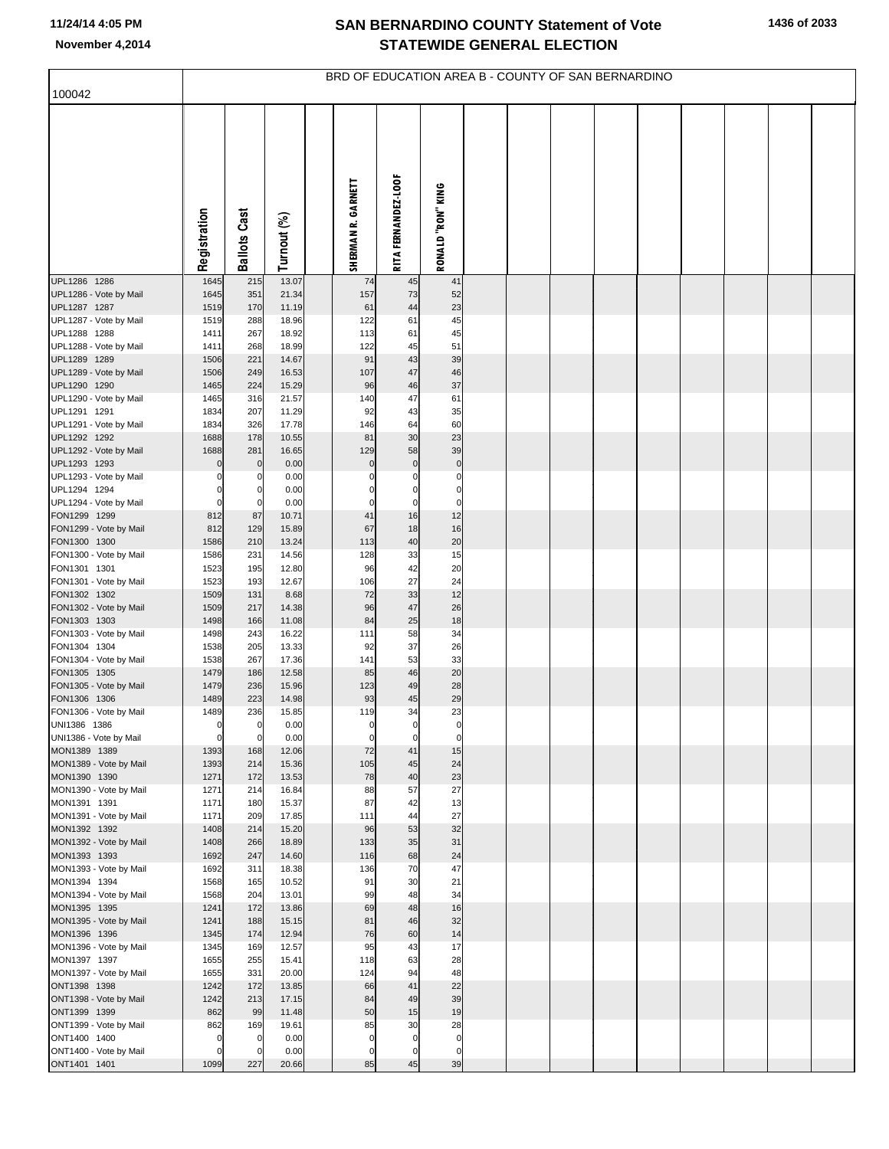|                                        | BRD OF EDUCATION AREA B - COUNTY OF SAN BERNARDINO |                            |                |  |                            |                            |                            |  |  |  |  |  |  |  |  |
|----------------------------------------|----------------------------------------------------|----------------------------|----------------|--|----------------------------|----------------------------|----------------------------|--|--|--|--|--|--|--|--|
| 100042                                 |                                                    |                            |                |  |                            |                            |                            |  |  |  |  |  |  |  |  |
|                                        | Registration                                       | <b>Ballots Cast</b>        | Turnout (%)    |  | SHERMAN R. GARNETT         | <b>RITA FERNANDEZ-LOOF</b> | RONALD RON KING            |  |  |  |  |  |  |  |  |
| UPL1286 1286                           | 1645                                               | 215                        | 13.07          |  | 74                         | 45                         | 41                         |  |  |  |  |  |  |  |  |
| UPL1286 - Vote by Mail<br>UPL1287 1287 | 1645<br>1519                                       | 351<br>170                 | 21.34<br>11.19 |  | 157<br>61                  | 73<br>44                   | 52<br>23                   |  |  |  |  |  |  |  |  |
| UPL1287 - Vote by Mail                 | 1519                                               | 288                        | 18.96          |  | 122                        | 61                         | 45                         |  |  |  |  |  |  |  |  |
| UPL1288 1288                           | 1411                                               | 267                        | 18.92          |  | 113                        | 61                         | 45<br>51                   |  |  |  |  |  |  |  |  |
| UPL1288 - Vote by Mail<br>UPL1289 1289 | 1411<br>1506                                       | 268<br>221                 | 18.99<br>14.67 |  | 122<br>91                  | 45<br>43                   | 39                         |  |  |  |  |  |  |  |  |
| UPL1289 - Vote by Mail                 | 1506                                               | 249                        | 16.53          |  | 107                        | 47                         | 46                         |  |  |  |  |  |  |  |  |
| UPL1290 1290                           | 1465                                               | 224                        | 15.29          |  | 96                         | 46<br>47                   | 37<br>61                   |  |  |  |  |  |  |  |  |
| UPL1290 - Vote by Mail<br>UPL1291 1291 | 1465<br>1834                                       | 316<br>207                 | 21.57<br>11.29 |  | 140<br>92                  | 43                         | 35                         |  |  |  |  |  |  |  |  |
| UPL1291 - Vote by Mail                 | 1834                                               | 326                        | 17.78          |  | 146                        | 64                         | 60                         |  |  |  |  |  |  |  |  |
| UPL1292 1292                           | 1688                                               | 178                        | 10.55          |  | 81                         | 30                         | 23<br>39                   |  |  |  |  |  |  |  |  |
| UPL1292 - Vote by Mail<br>UPL1293 1293 | 1688<br>$\Omega$                                   | 281<br>$\mathbf 0$         | 16.65<br>0.00  |  | 129<br>$\bf 0$             | 58<br>$\mathbf 0$          | $\pmb{0}$                  |  |  |  |  |  |  |  |  |
| UPL1293 - Vote by Mail                 | $\mathbf 0$                                        | 0                          | 0.00           |  | 0                          | 0                          | $\mathbf 0$                |  |  |  |  |  |  |  |  |
| UPL1294 1294                           | $\Omega$<br>$\mathbf 0$                            | $\mathbf 0$<br>$\mathbf 0$ | 0.00<br>0.00   |  | $\mathbf 0$<br>$\mathbf 0$ | 0<br>$\mathbf 0$           | $\mathbf 0$<br>$\mathbf 0$ |  |  |  |  |  |  |  |  |
| UPL1294 - Vote by Mail<br>FON1299 1299 | 812                                                | 87                         | 10.71          |  | 41                         | 16                         | 12                         |  |  |  |  |  |  |  |  |
| FON1299 - Vote by Mail                 | 812                                                | 129                        | 15.89          |  | 67                         | 18                         | 16                         |  |  |  |  |  |  |  |  |
| FON1300 1300                           | 1586                                               | 210                        | 13.24<br>14.56 |  | 113                        | 40                         | 20<br>15                   |  |  |  |  |  |  |  |  |
| FON1300 - Vote by Mail<br>FON1301 1301 | 1586<br>1523                                       | 231<br>195                 | 12.80          |  | 128<br>96                  | 33<br>42                   | 20                         |  |  |  |  |  |  |  |  |
| FON1301 - Vote by Mail                 | 1523                                               | 193                        | 12.67          |  | 106                        | 27                         | 24                         |  |  |  |  |  |  |  |  |
| FON1302 1302<br>FON1302 - Vote by Mail | 1509<br>1509                                       | 131<br>217                 | 8.68<br>14.38  |  | 72<br>96                   | 33<br>47                   | 12<br>26                   |  |  |  |  |  |  |  |  |
| FON1303 1303                           | 1498                                               | 166                        | 11.08          |  | 84                         | 25                         | 18                         |  |  |  |  |  |  |  |  |
| FON1303 - Vote by Mail                 | 1498                                               | 243                        | 16.22          |  | 111                        | 58                         | 34                         |  |  |  |  |  |  |  |  |
| FON1304 1304<br>FON1304 - Vote by Mail | 1538<br>1538                                       | 205<br>267                 | 13.33<br>17.36 |  | 92<br>141                  | 37<br>53                   | 26<br>33                   |  |  |  |  |  |  |  |  |
| FON1305 1305                           | 1479                                               | 186                        | 12.58          |  | 85                         | 46                         | 20                         |  |  |  |  |  |  |  |  |
| FON1305 - Vote by Mail                 | 1479                                               | 236                        | 15.96          |  | 123                        | 49                         | 28                         |  |  |  |  |  |  |  |  |
| FON1306 1306<br>FON1306 - Vote by Mail | 1489<br>1489                                       | 223<br>236                 | 14.98<br>15.85 |  | 93<br>119                  | 45<br>34                   | 29<br>23                   |  |  |  |  |  |  |  |  |
| UNI1386 1386                           | 0                                                  | 0                          | 0.00           |  | 0                          | 0                          | 0                          |  |  |  |  |  |  |  |  |
| UNI1386 - Vote by Mail                 | $\mathbf 0$                                        | $\mathbf 0$                | 0.00           |  | $\mathbf 0$                | 0                          | $\mathbf 0$                |  |  |  |  |  |  |  |  |
| MON1389 1389<br>MON1389 - Vote by Mail | 1393<br>1393                                       | 168<br>214                 | 12.06<br>15.36 |  | 72<br>105                  | 41<br>45                   | 15<br>24                   |  |  |  |  |  |  |  |  |
| MON1390 1390                           | 1271                                               | 172                        | 13.53          |  | 78                         | 40                         | 23                         |  |  |  |  |  |  |  |  |
| MON1390 - Vote by Mail<br>MON1391 1391 | 1271<br>1171                                       | 214<br>180                 | 16.84<br>15.37 |  | 88<br>87                   | 57<br>42                   | 27<br>13                   |  |  |  |  |  |  |  |  |
| MON1391 - Vote by Mail                 | 1171                                               | 209                        | 17.85          |  | 111                        | 44                         | 27                         |  |  |  |  |  |  |  |  |
| MON1392 1392                           | 1408                                               | 214                        | 15.20          |  | 96                         | 53                         | 32                         |  |  |  |  |  |  |  |  |
| MON1392 - Vote by Mail<br>MON1393 1393 | 1408<br>1692                                       | 266<br>247                 | 18.89<br>14.60 |  | 133<br>116                 | 35<br>68                   | 31<br>24                   |  |  |  |  |  |  |  |  |
| MON1393 - Vote by Mail                 | 1692                                               | 311                        | 18.38          |  | 136                        | 70                         | 47                         |  |  |  |  |  |  |  |  |
| MON1394 1394                           | 1568                                               | 165                        | 10.52          |  | 91                         | 30                         | 21                         |  |  |  |  |  |  |  |  |
| MON1394 - Vote by Mail<br>MON1395 1395 | 1568<br>1241                                       | 204<br>172                 | 13.01<br>13.86 |  | 99<br>69                   | 48<br>48                   | 34<br>16                   |  |  |  |  |  |  |  |  |
| MON1395 - Vote by Mail                 | 1241                                               | 188                        | 15.15          |  | 81                         | 46                         | 32                         |  |  |  |  |  |  |  |  |
| MON1396 1396                           | 1345                                               | 174                        | 12.94          |  | 76                         | 60                         | 14                         |  |  |  |  |  |  |  |  |
| MON1396 - Vote by Mail<br>MON1397 1397 | 1345<br>1655                                       | 169<br>255                 | 12.57<br>15.41 |  | 95<br>118                  | 43<br>63                   | 17<br>28                   |  |  |  |  |  |  |  |  |
| MON1397 - Vote by Mail                 | 1655                                               | 331                        | 20.00          |  | 124                        | 94                         | 48                         |  |  |  |  |  |  |  |  |
| ONT1398 1398                           | 1242                                               | 172                        | 13.85          |  | 66                         | 41                         | 22                         |  |  |  |  |  |  |  |  |
| ONT1398 - Vote by Mail<br>ONT1399 1399 | 1242<br>862                                        | 213<br>99                  | 17.15<br>11.48 |  | 84<br>50                   | 49<br>15                   | 39<br>19                   |  |  |  |  |  |  |  |  |
| ONT1399 - Vote by Mail                 | 862                                                | 169                        | 19.61          |  | 85                         | 30                         | 28                         |  |  |  |  |  |  |  |  |
| ONT1400 1400                           | $\mathbf 0$                                        | $\mathbf 0$                | 0.00           |  | $\mathbf 0$                | $\mathbf 0$                | $\mathbf 0$                |  |  |  |  |  |  |  |  |
| ONT1400 - Vote by Mail<br>ONT1401 1401 | $\mathbf 0$<br>1099                                | $\mathbf 0$<br>227         | 0.00<br>20.66  |  | 0<br>85                    | 0<br>45                    | $\mathbf 0$<br>39          |  |  |  |  |  |  |  |  |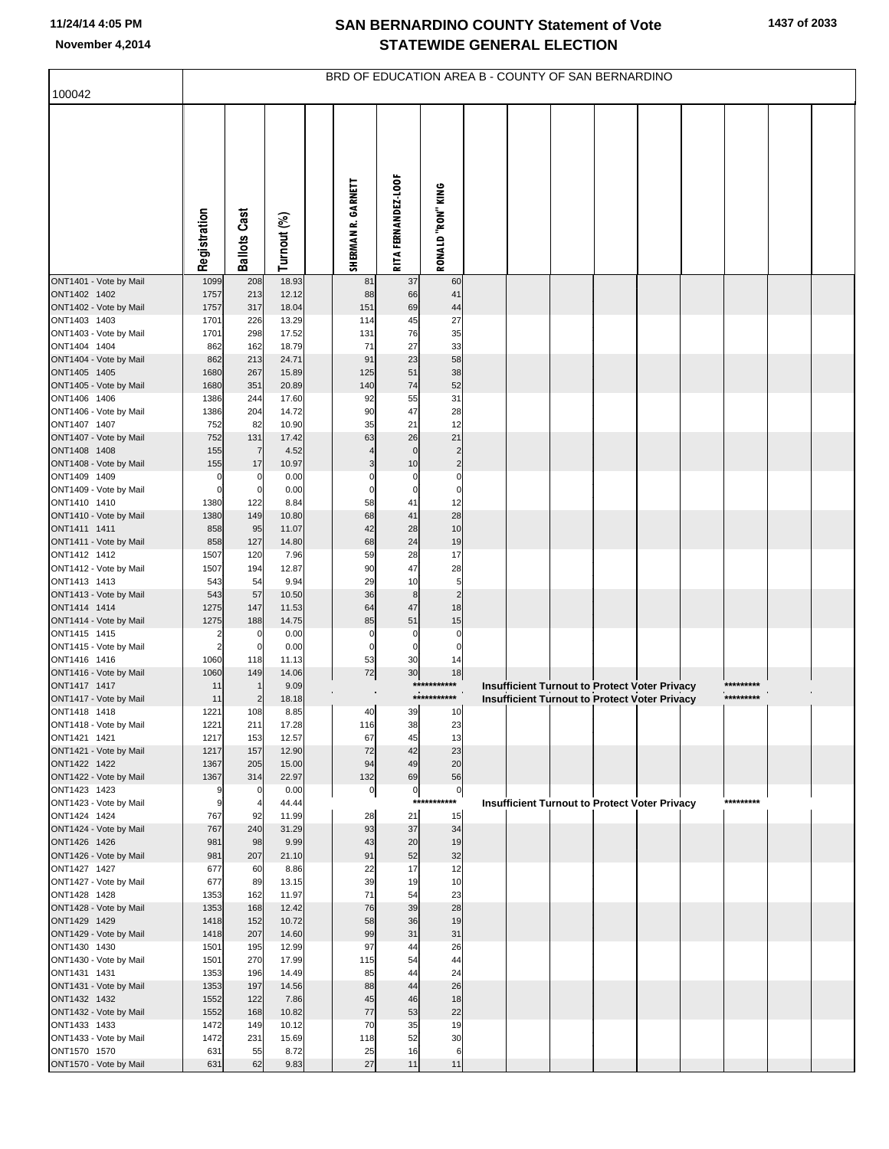|                                        | BRD OF EDUCATION AREA B - COUNTY OF SAN BERNARDINO |                     |                |  |                    |                     |                             |  |  |  |                                                                                                       |  |  |           |  |
|----------------------------------------|----------------------------------------------------|---------------------|----------------|--|--------------------|---------------------|-----------------------------|--|--|--|-------------------------------------------------------------------------------------------------------|--|--|-----------|--|
| 100042                                 |                                                    |                     |                |  |                    |                     |                             |  |  |  |                                                                                                       |  |  |           |  |
|                                        | Registration                                       | <b>Ballots Cast</b> | Turnout (%)    |  | SHERMAN R. GARNETT | RITA FERNANDEZ-LOOF | RONALD "RON" KING           |  |  |  |                                                                                                       |  |  |           |  |
| ONT1401 - Vote by Mail                 | 1099                                               | 208                 | 18.93          |  | 81                 | 37                  | 60                          |  |  |  |                                                                                                       |  |  |           |  |
| ONT1402 1402<br>ONT1402 - Vote by Mail | 1757<br>1757                                       | 213<br>317          | 12.12<br>18.04 |  | 88<br>151          | 66<br>69            | 41<br>44                    |  |  |  |                                                                                                       |  |  |           |  |
| ONT1403 1403                           | 1701                                               | 226                 | 13.29          |  | 114                | 45                  | 27                          |  |  |  |                                                                                                       |  |  |           |  |
| ONT1403 - Vote by Mail                 | 1701                                               | 298                 | 17.52          |  | 131                | 76                  | 35                          |  |  |  |                                                                                                       |  |  |           |  |
| ONT1404 1404<br>ONT1404 - Vote by Mail | 862<br>862                                         | 162<br>213          | 18.79<br>24.71 |  | 71<br>91           | 27<br>23            | 33<br>58                    |  |  |  |                                                                                                       |  |  |           |  |
| ONT1405 1405                           | 1680                                               | 267                 | 15.89          |  | 125                | 51                  | 38                          |  |  |  |                                                                                                       |  |  |           |  |
| ONT1405 - Vote by Mail                 | 1680                                               | 351                 | 20.89          |  | 140                | 74                  | 52                          |  |  |  |                                                                                                       |  |  |           |  |
| ONT1406 1406                           | 1386                                               | 244                 | 17.60          |  | 92                 | 55                  | 31                          |  |  |  |                                                                                                       |  |  |           |  |
| ONT1406 - Vote by Mail<br>ONT1407 1407 | 1386<br>752                                        | 204<br>82           | 14.72<br>10.90 |  | 90<br>35           | 47<br>21            | 28<br>12                    |  |  |  |                                                                                                       |  |  |           |  |
| ONT1407 - Vote by Mail                 | 752                                                | 131                 | 17.42          |  | 63                 | 26                  | 21                          |  |  |  |                                                                                                       |  |  |           |  |
| ONT1408 1408                           | 155                                                | $\overline{7}$      | 4.52           |  |                    | 0                   | $\overline{2}$              |  |  |  |                                                                                                       |  |  |           |  |
| ONT1408 - Vote by Mail<br>ONT1409 1409 | 155                                                | 17<br>$\mathbf 0$   | 10.97<br>0.00  |  | 3<br>0             | 10<br>0             | $\overline{2}$<br>$\pmb{0}$ |  |  |  |                                                                                                       |  |  |           |  |
| ONT1409 - Vote by Mail                 | $\Omega$                                           | $\mathbf 0$         | 0.00           |  | $\mathbf 0$        | $\mathbf 0$         | $\mathbf 0$                 |  |  |  |                                                                                                       |  |  |           |  |
| ONT1410 1410                           | 1380                                               | 122                 | 8.84           |  | 58                 | 41                  | 12                          |  |  |  |                                                                                                       |  |  |           |  |
| ONT1410 - Vote by Mail<br>ONT1411 1411 | 1380<br>858                                        | 149<br>95           | 10.80<br>11.07 |  | 68<br>42           | 41<br>28            | 28<br>10                    |  |  |  |                                                                                                       |  |  |           |  |
| ONT1411 - Vote by Mail                 | 858                                                | 127                 | 14.80          |  | 68                 | 24                  | 19                          |  |  |  |                                                                                                       |  |  |           |  |
| ONT1412 1412                           | 1507                                               | 120                 | 7.96           |  | 59                 | 28                  | 17                          |  |  |  |                                                                                                       |  |  |           |  |
| ONT1412 - Vote by Mail<br>ONT1413 1413 | 1507<br>543                                        | 194<br>54           | 12.87<br>9.94  |  | 90<br>29           | 47<br>10            | 28<br>5                     |  |  |  |                                                                                                       |  |  |           |  |
| ONT1413 - Vote by Mail                 | 543                                                | 57                  | 10.50          |  | 36                 | 8                   | $\overline{c}$              |  |  |  |                                                                                                       |  |  |           |  |
| ONT1414 1414                           | 1275                                               | 147                 | 11.53          |  | 64                 | 47                  | 18                          |  |  |  |                                                                                                       |  |  |           |  |
| ONT1414 - Vote by Mail<br>ONT1415 1415 | 1275<br>2                                          | 188<br>$\mathbf 0$  | 14.75<br>0.00  |  | 85<br>0            | 51<br>0             | 15<br>0                     |  |  |  |                                                                                                       |  |  |           |  |
| ONT1415 - Vote by Mail                 | $\overline{2}$                                     | $\mathbf 0$         | 0.00           |  | $\overline{0}$     | $\mathbf 0$         | $\mathbf 0$                 |  |  |  |                                                                                                       |  |  |           |  |
| ONT1416 1416                           | 1060                                               | 118                 | 11.13          |  | 53                 | 30                  | 14                          |  |  |  |                                                                                                       |  |  |           |  |
| ONT1416 - Vote by Mail<br>ONT1417 1417 | 1060<br>11                                         | 149                 | 14.06<br>9.09  |  | 72                 | 30<br>***           | 18<br>****                  |  |  |  |                                                                                                       |  |  | ********* |  |
| ONT1417 - Vote by Mail                 | 11                                                 | $\overline{2}$      | 18.18          |  |                    |                     | ***********                 |  |  |  | Insufficient Turnout to Protect Voter Privacy<br><b>Insufficient Turnout to Protect Voter Privacy</b> |  |  | ********* |  |
| ONT1418 1418                           | 1221                                               | 108                 | 8.85           |  | 40                 | 39                  | 10                          |  |  |  |                                                                                                       |  |  |           |  |
| ONT1418 - Vote by Mail                 | 1221                                               | 211                 | 17.28          |  | 116                | 38<br>45            | 23<br>13                    |  |  |  |                                                                                                       |  |  |           |  |
| ONT1421 1421<br>ONT1421 - Vote by Mail | 1217<br>1217                                       | 153<br>157          | 12.57<br>12.90 |  | 67<br>72           | 42                  | 23                          |  |  |  |                                                                                                       |  |  |           |  |
| ONT1422 1422                           | 1367                                               | 205                 | 15.00          |  | 94                 | 49                  | 20                          |  |  |  |                                                                                                       |  |  |           |  |
| ONT1422 - Vote by Mail<br>ONT1423 1423 | 1367<br>9                                          | 314<br>$\mathbf 0$  | 22.97<br>0.00  |  | 132                | 69                  | 56                          |  |  |  |                                                                                                       |  |  |           |  |
| ONT1423 - Vote by Mail                 | 9                                                  | $\overline{4}$      | 44.44          |  | $\overline{0}$     | $\circ$<br>$***$    | $\overline{0}$<br>****      |  |  |  | <b>Insufficient Turnout to Protect Voter Privacy</b>                                                  |  |  | ********* |  |
| ONT1424 1424                           | 767                                                | 92                  | 11.99          |  | 28                 | 21                  | 15                          |  |  |  |                                                                                                       |  |  |           |  |
| ONT1424 - Vote by Mail<br>ONT1426 1426 | 767<br>981                                         | 240<br>98           | 31.29<br>9.99  |  | 93<br>43           | 37<br>20            | 34<br>19                    |  |  |  |                                                                                                       |  |  |           |  |
| ONT1426 - Vote by Mail                 | 981                                                | 207                 | 21.10          |  | 91                 | 52                  | 32                          |  |  |  |                                                                                                       |  |  |           |  |
| ONT1427 1427                           | 677                                                | 60                  | 8.86           |  | 22                 | 17                  | 12                          |  |  |  |                                                                                                       |  |  |           |  |
| ONT1427 - Vote by Mail<br>ONT1428 1428 | 677<br>1353                                        | 89<br>162           | 13.15<br>11.97 |  | 39<br>71           | 19<br>54            | 10<br>23                    |  |  |  |                                                                                                       |  |  |           |  |
| ONT1428 - Vote by Mail                 | 1353                                               | 168                 | 12.42          |  | 76                 | 39                  | 28                          |  |  |  |                                                                                                       |  |  |           |  |
| ONT1429 1429                           | 1418                                               | 152                 | 10.72          |  | 58                 | 36                  | 19                          |  |  |  |                                                                                                       |  |  |           |  |
| ONT1429 - Vote by Mail<br>ONT1430 1430 | 1418<br>1501                                       | 207<br>195          | 14.60<br>12.99 |  | 99<br>97           | 31<br>44            | 31<br>26                    |  |  |  |                                                                                                       |  |  |           |  |
| ONT1430 - Vote by Mail                 | 1501                                               | 270                 | 17.99          |  | 115                | 54                  | 44                          |  |  |  |                                                                                                       |  |  |           |  |
| ONT1431 1431                           | 1353                                               | 196                 | 14.49          |  | 85                 | 44                  | 24                          |  |  |  |                                                                                                       |  |  |           |  |
| ONT1431 - Vote by Mail                 | 1353                                               | 197                 | 14.56          |  | 88                 | 44                  | 26                          |  |  |  |                                                                                                       |  |  |           |  |
| ONT1432 1432<br>ONT1432 - Vote by Mail | 1552<br>1552                                       | 122<br>168          | 7.86<br>10.82  |  | 45<br>77           | 46<br>53            | 18<br>22                    |  |  |  |                                                                                                       |  |  |           |  |
| ONT1433 1433                           | 1472                                               | 149                 | 10.12          |  | 70                 | 35                  | 19                          |  |  |  |                                                                                                       |  |  |           |  |
| ONT1433 - Vote by Mail                 | 1472                                               | 231                 | 15.69          |  | 118                | 52                  | 30                          |  |  |  |                                                                                                       |  |  |           |  |
| ONT1570 1570<br>ONT1570 - Vote by Mail | 631<br>631                                         | 55<br>62            | 8.72<br>9.83   |  | 25<br>27           | 16<br>11            | 6<br>11                     |  |  |  |                                                                                                       |  |  |           |  |